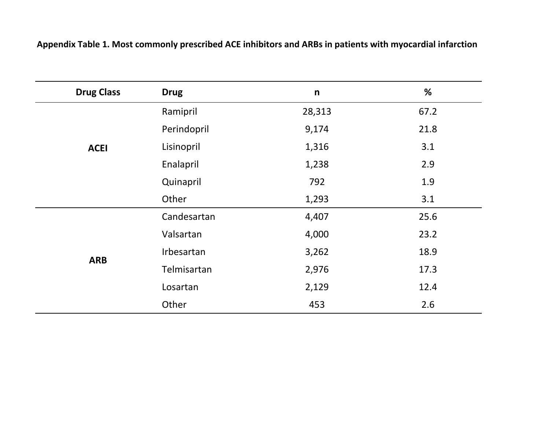| <b>Drug Class</b> | <b>Drug</b> | $\mathsf{n}$ | %    |
|-------------------|-------------|--------------|------|
| <b>ACEI</b>       | Ramipril    | 28,313       | 67.2 |
|                   | Perindopril | 9,174        | 21.8 |
|                   | Lisinopril  | 1,316        | 3.1  |
|                   | Enalapril   | 1,238        | 2.9  |
|                   | Quinapril   | 792          | 1.9  |
|                   | Other       | 1,293        | 3.1  |
| <b>ARB</b>        | Candesartan | 4,407        | 25.6 |
|                   | Valsartan   | 4,000        | 23.2 |
|                   | Irbesartan  | 3,262        | 18.9 |
|                   | Telmisartan | 2,976        | 17.3 |
|                   | Losartan    | 2,129        | 12.4 |
|                   | Other       | 453          | 2.6  |

**Appendix Table 1. Most commonly prescribed ACE inhibitors and ARBs in patients with myocardial infarction**